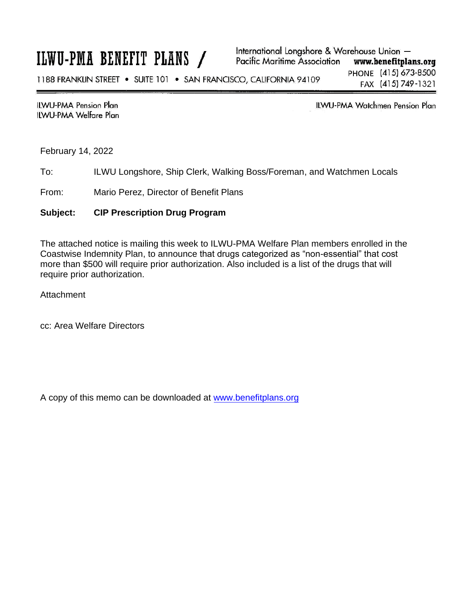## ILWU-PMA BENEFIT PLANS /

**ILWU-PMA Pension Plan ILWU-PMA Welfare Plan**  **ILWU-PMA Watchmen Pension Plan** 

February 14, 2022

To: ILWU Longshore, Ship Clerk, Walking Boss/Foreman, and Watchmen Locals

From: Mario Perez, Director of Benefit Plans

## **Subject: CIP Prescription Drug Program**

The attached notice is mailing this week to ILWU-PMA Welfare Plan members enrolled in the Coastwise Indemnity Plan, to announce that drugs categorized as "non-essential" that cost more than \$500 will require prior authorization. Also included is a list of the drugs that will require prior authorization.

**Attachment** 

cc: Area Welfare Directors

A copy of this memo can be downloaded at [w](http://www.benefitplans.org/)[ww.benefitplans.or](https://www.benefitplans.org/)[g](http://www.benefitplans.org/)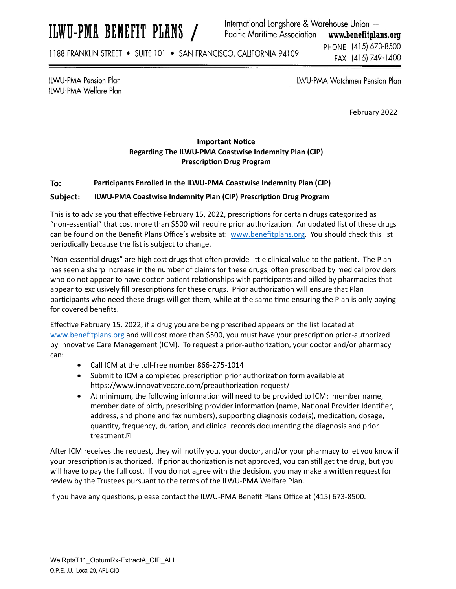# ILWU-PMA BENEFIT PLANS /

International Longshore & Warehouse Union -Pacific Maritime Association www.benefitplans.org

1188 FRANKLIN STREET . SUITE 101 . SAN FRANCISCO, CALIFORNIA 94109

PHONE (415) 673-8500 FAX (415) 749-1400

**ILWU-PMA Pension Plan** ILWU-PMA Welfare Plan ILWU-PMA Watchmen Pension Plan

February 2022

## **Important NoƟce Regarding The ILWU‐PMA Coastwise Indemnity Plan (CIP) PrescripƟon Drug Program**

### **To: ParƟcipants Enrolled in the ILWU‐PMA Coastwise Indemnity Plan (CIP)**

#### **Subject: ILWU-PMA Coastwise Indemnity Plan (CIP) Prescription Drug Program**

This is to advise you that effective February 15, 2022, prescriptions for certain drugs categorized as "non-essential" that cost more than \$500 will require prior authorization. An updated list of these drugs can be found on the Benefit Plans Office's website at: [www.benefitplans.org](https://www.benefitplans.org/). You should check this list periodically because the list is subject to change.

"Non-essential drugs" are high cost drugs that often provide little clinical value to the patient. The Plan has seen a sharp increase in the number of claims for these drugs, often prescribed by medical providers who do not appear to have doctor-patient relationships with participants and billed by pharmacies that appear to exclusively fill prescriptions for these drugs. Prior authorization will ensure that Plan participants who need these drugs will get them, while at the same time ensuring the Plan is only paying for covered benefits.

Effective February 15, 2022, if a drug you are being prescribed appears on the list located at [www.benefitplans.org](https://www.benefitplans.org/) and will cost more than \$500, you must have your prescription prior-authorized by Innovative Care Management (ICM). To request a prior-authorization, your doctor and/or pharmacy can:

- Call ICM at the toll‐free number 866‐275‐1014
- Submit to ICM a completed prescription prior authorization form available at https://www.innovati[vecare.com/preauthoriza](https://www.innovativecare.com/preauthorization-request/)tion-request/
- At minimum, the following information will need to be provided to ICM: member name, member date of birth, prescribing provider information (name, National Provider Identifier, address, and phone and fax numbers), supporting diagnosis code(s), medication, dosage, quantity, frequency, duration, and clinical records documenting the diagnosis and prior treatment.

After ICM receives the request, they will notify you, your doctor, and/or your pharmacy to let you know if your prescription is authorized. If prior authorization is not approved, you can still get the drug, but you will have to pay the full cost. If you do not agree with the decision, you may make a written request for review by the Trustees pursuant to the terms of the ILWU‐PMA Welfare Plan.

If you have any questions, please contact the ILWU-PMA Benefit Plans Office at (415) 673-8500.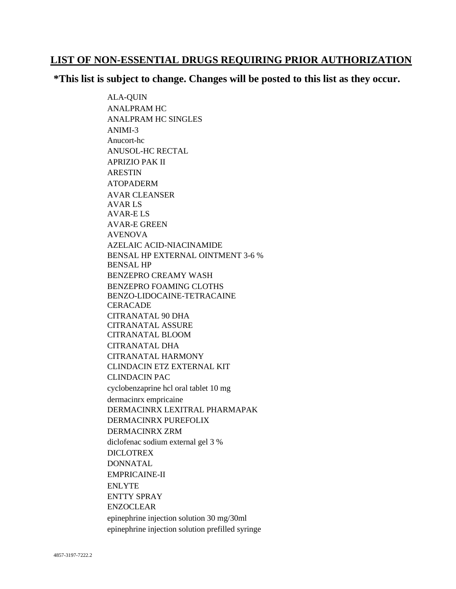## **LIST OF NON-ESSENTIAL DRUGS REQUIRING PRIOR AUTHORIZATION**

## **\*This list is subject to change. Changes will be posted to this list as they occur.**

ALA-QUIN ANALPRAM HC ANALPRAM HC SINGLES ANIMI-3 Anucort-hc ANUSOL-HC RECTAL APRIZIO PAK II ARESTIN ATOPADERM AVAR CLEANSER AVAR LS AVAR-E LS AVAR-E GREEN AVENOVA AZELAIC ACID-NIACINAMIDE BENSAL HP EXTERNAL OINTMENT 3-6 % BENSAL HP BENZEPRO CREAMY WASH BENZEPRO FOAMING CLOTHS BENZO-LIDOCAINE-TETRACAINE **CERACADE** CITRANATAL 90 DHA CITRANATAL ASSURE CITRANATAL BLOOM CITRANATAL DHA CITRANATAL HARMONY CLINDACIN ETZ EXTERNAL KIT CLINDACIN PAC cyclobenzaprine hcl oral tablet 10 mg dermacinrx empricaine DERMACINRX LEXITRAL PHARMAPAK DERMACINRX PUREFOLIX DERMACINRX ZRM diclofenac sodium external gel 3 % DICLOTREX DONNATAL EMPRICAINE-II ENLYTE ENTTY SPRAY ENZOCLEAR epinephrine injection solution 30 mg/30ml epinephrine injection solution prefilled syringe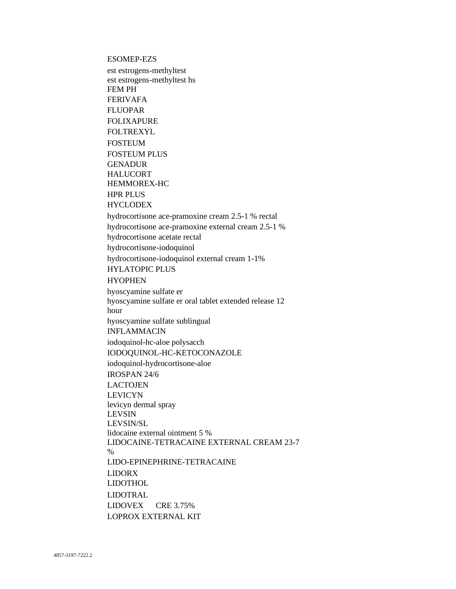**ESOMEP-EZS** 

est estrogens-methyltest est estrogens-methyltest hs **FEM PH FERIVAFA FLUOPAR FOLIXAPURE FOLTREXYL FOSTEUM FOSTEUM PLUS GENADUR HALUCORT** HEMMOREX-HC **HPR PLUS HYCLODEX** hydrocortisone ace-pramoxine cream 2.5-1 % rectal hydrocortisone ace-pramoxine external cream 2.5-1 % hydrocortisone acetate rectal hydrocortisone-iodoquinol hydrocortisone-iodoquinol external cream 1-1% **HYLATOPIC PLUS HYOPHEN** hyoscyamine sulfate er hyoscyamine sulfate er oral tablet extended release 12 hour hyoscyamine sulfate sublingual **INFLAMMACIN** iodoquinol-hc-aloe polysacch IODOOUINOL-HC-KETOCONAZOLE iodoquinol-hydrocortisone-aloe **IROSPAN 24/6 LACTOJEN LEVICYN** levicyn dermal spray **LEVSIN** LEVSIN/SL lidocaine external ointment 5 % LIDOCAINE-TETRACAINE EXTERNAL CREAM 23-7  $\frac{0}{0}$ LIDO-EPINEPHRINE-TETRACAINE **LIDORX LIDOTHOL LIDOTRAL LIDOVEX** CRE 3.75% **LOPROX EXTERNAL KIT**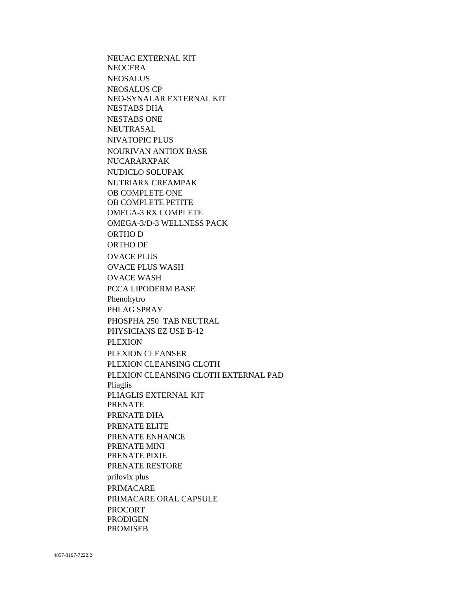NEUAC EXTERNAL KIT **NEOCERA NEOSALUS NEOSALUS CP** NEO-SYNALAR EXTERNAL KIT **NESTABS DHA NESTABS ONE NEUTRASAL NIVATOPIC PLUS NOURIVAN ANTIOX BASE NUCARARXPAK** NUDICLO SOLUPAK NUTRIARX CREAMPAK OB COMPLETE ONE OB COMPLETE PETITE **OMEGA-3 RX COMPLETE** OMEGA-3/D-3 WELLNESS PACK ORTHO D ORTHO DF **OVACE PLUS OVACE PLUS WASH OVACE WASH** PCCA LIPODERM BASE Phenohytro PHLAG SPRAY PHOSPHA 250 TAB NEUTRAL PHYSICIANS EZ USE B-12 **PLEXION** PLEXION CLEANSER PLEXION CLEANSING CLOTH PLEXION CLEANSING CLOTH EXTERNAL PAD Pliaglis PLIAGLIS EXTERNAL KIT **PRENATE** PRENATE DHA PRENATE ELITE PRENATE ENHANCE PRENATE MINI PRENATE PIXIE PRENATE RESTORE prilovix plus **PRIMACARE** PRIMACARE ORAL CAPSULE **PROCORT PRODIGEN PROMISEB**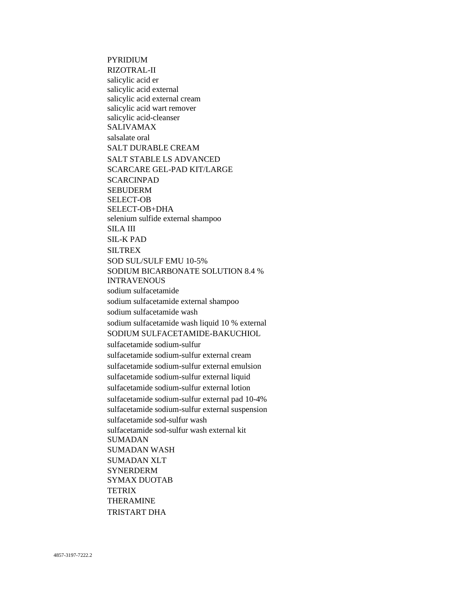PYRIDIUM RIZOTRAL-II salicylic acid er salicylic acid external salicylic acid external cream salicylic acid wart remover salicylic acid-cleanser SALIVAMAX salsalate oral SALT DURABLE CREAM SALT STABLE LS ADVANCED SCARCARE GEL-PAD KIT/LARGE SCARCINPAD SEBUDERM SELECT-OB SELECT-OB+DHA selenium sulfide external shampoo SILA III SIL-K PAD SILTREX SOD SUL/SULF EMU 10-5% SODIUM BICARBONATE SOLUTION 8.4 % INTRAVENOUS sodium sulfacetamide sodium sulfacetamide external shampoo sodium sulfacetamide wash sodium sulfacetamide wash liquid 10 % external SODIUM SULFACETAMIDE-BAKUCHIOL sulfacetamide sodium-sulfur sulfacetamide sodium-sulfur external cream sulfacetamide sodium-sulfur external emulsion sulfacetamide sodium-sulfur external liquid sulfacetamide sodium-sulfur external lotion sulfacetamide sodium-sulfur external pad 10-4% sulfacetamide sodium-sulfur external suspension sulfacetamide sod-sulfur wash sulfacetamide sod-sulfur wash external kit SUMADAN SUMADAN WASH SUMADAN XLT **SYNERDERM** SYMAX DUOTAB **TETRIX** THERAMINE TRISTART DHA